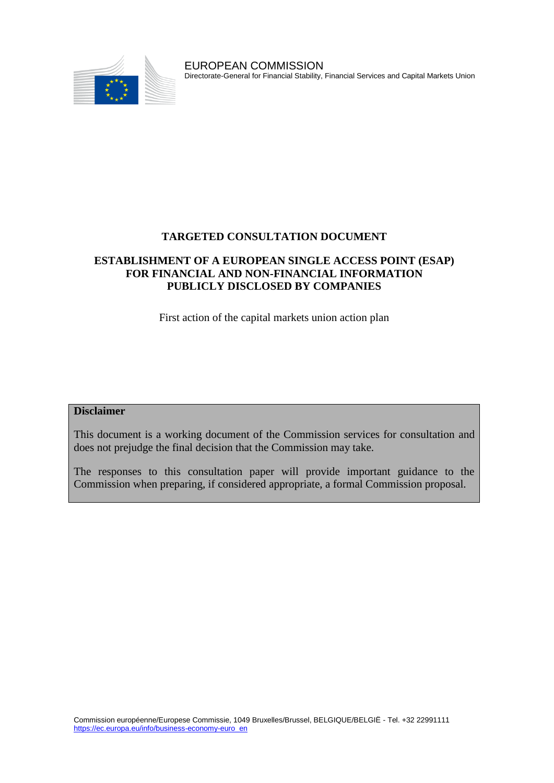

EUROPEAN COMMISSION Directorate-General for Financial Stability, Financial Services and Capital Markets Union

### **TARGETED CONSULTATION DOCUMENT**

### **ESTABLISHMENT OF A EUROPEAN SINGLE ACCESS POINT (ESAP) FOR FINANCIAL AND NON-FINANCIAL INFORMATION PUBLICLY DISCLOSED BY COMPANIES**

First action of the capital markets union action plan

#### **Disclaimer**

This document is a working document of the Commission services for consultation and does not prejudge the final decision that the Commission may take.

The responses to this consultation paper will provide important guidance to the Commission when preparing, if considered appropriate, a formal Commission proposal.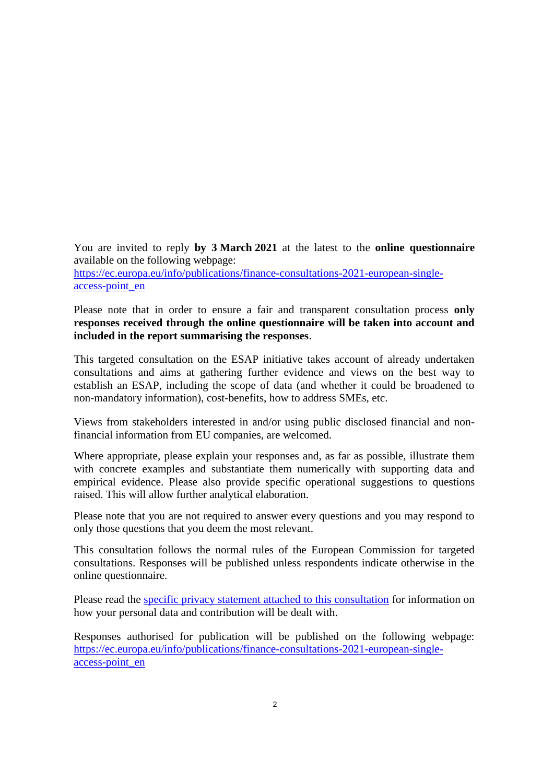You are invited to reply **by 3 March 2021** at the latest to the **online questionnaire** available on the following webpage: [https://ec.europa.eu/info/publications/finance-consultations-2021-european-single](https://ec.europa.eu/info/publications/finance-consultations-2021-european-single-access-point_en)[access-point\\_en](https://ec.europa.eu/info/publications/finance-consultations-2021-european-single-access-point_en)

Please note that in order to ensure a fair and transparent consultation process **only responses received through the online questionnaire will be taken into account and included in the report summarising the responses**.

This targeted consultation on the ESAP initiative takes account of already undertaken consultations and aims at gathering further evidence and views on the best way to establish an ESAP, including the scope of data (and whether it could be broadened to non-mandatory information), cost-benefits, how to address SMEs, etc.

Views from stakeholders interested in and/or using public disclosed financial and nonfinancial information from EU companies, are welcomed.

Where appropriate, please explain your responses and, as far as possible, illustrate them with concrete examples and substantiate them numerically with supporting data and empirical evidence. Please also provide specific operational suggestions to questions raised. This will allow further analytical elaboration.

Please note that you are not required to answer every questions and you may respond to only those questions that you deem the most relevant.

This consultation follows the normal rules of the European Commission for targeted consultations. Responses will be published unless respondents indicate otherwise in the online questionnaire.

Please read the [specific privacy statement attached to this consultation](https://ec.europa.eu/info/files/2021-esap-review-specific-privacy-statement_en) for information on how your personal data and contribution will be dealt with.

Responses authorised for publication will be published on the following webpage: [https://ec.europa.eu/info/publications/finance-consultations-2021-european-single](https://ec.europa.eu/info/publications/finance-consultations-2021-european-single-access-point_en)[access-point\\_en](https://ec.europa.eu/info/publications/finance-consultations-2021-european-single-access-point_en)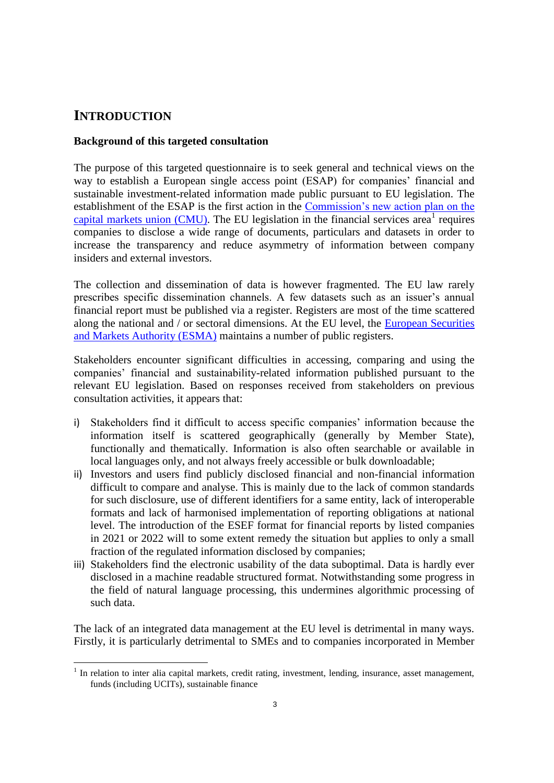# **INTRODUCTION**

 $\overline{a}$ 

### **Background of this targeted consultation**

The purpose of this targeted questionnaire is to seek general and technical views on the way to establish a European single access point (ESAP) for companies' financial and sustainable investment-related information made public pursuant to EU legislation. The establishment of the ESAP is the first action in the [Commission's new action plan on the](https://ec.europa.eu/info/publications/200924-capital-markets-union-action-plan_en)  capital markets union  $(CMU)$ . The EU legislation in the financial services area<sup>1</sup> requires companies to disclose a wide range of documents, particulars and datasets in order to increase the transparency and reduce asymmetry of information between company insiders and external investors.

The collection and dissemination of data is however fragmented. The EU law rarely prescribes specific dissemination channels. A few datasets such as an issuer's annual financial report must be published via a register. Registers are most of the time scattered along the national and / or sectoral dimensions. At the EU level, the [European Securities](https://www.esma.europa.eu/)  [and Markets Authority \(ESMA\)](https://www.esma.europa.eu/) maintains a number of public registers.

Stakeholders encounter significant difficulties in accessing, comparing and using the companies' financial and sustainability-related information published pursuant to the relevant EU legislation. Based on responses received from stakeholders on previous consultation activities, it appears that:

- i) Stakeholders find it difficult to access specific companies' information because the information itself is scattered geographically (generally by Member State), functionally and thematically. Information is also often searchable or available in local languages only, and not always freely accessible or bulk downloadable;
- ii) Investors and users find publicly disclosed financial and non-financial information difficult to compare and analyse. This is mainly due to the lack of common standards for such disclosure, use of different identifiers for a same entity, lack of interoperable formats and lack of harmonised implementation of reporting obligations at national level. The introduction of the ESEF format for financial reports by listed companies in 2021 or 2022 will to some extent remedy the situation but applies to only a small fraction of the regulated information disclosed by companies;
- iii) Stakeholders find the electronic usability of the data suboptimal. Data is hardly ever disclosed in a machine readable structured format. Notwithstanding some progress in the field of natural language processing, this undermines algorithmic processing of such data.

The lack of an integrated data management at the EU level is detrimental in many ways. Firstly, it is particularly detrimental to SMEs and to companies incorporated in Member

<sup>&</sup>lt;sup>1</sup> In relation to inter alia capital markets, credit rating, investment, lending, insurance, asset management, funds (including UCITs), sustainable finance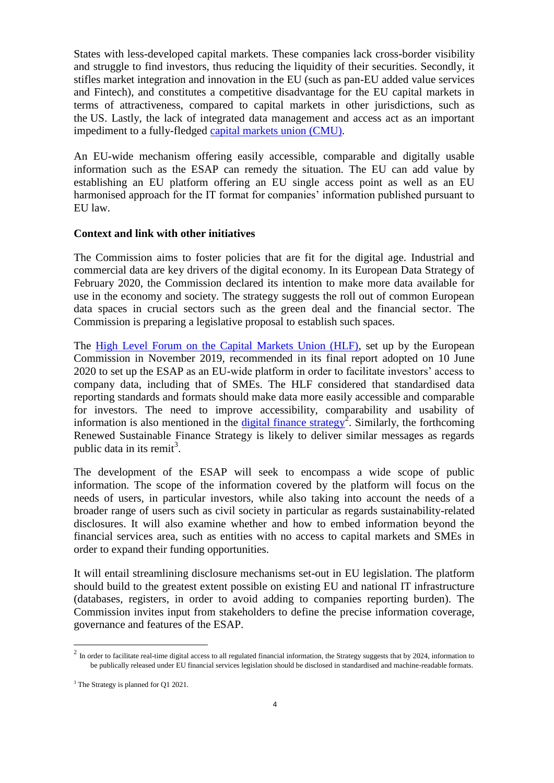States with less-developed capital markets. These companies lack cross-border visibility and struggle to find investors, thus reducing the liquidity of their securities. Secondly, it stifles market integration and innovation in the EU (such as pan-EU added value services and Fintech), and constitutes a competitive disadvantage for the EU capital markets in terms of attractiveness, compared to capital markets in other jurisdictions, such as the US. Lastly, the lack of integrated data management and access act as an important impediment to a fully-fledged [capital markets union \(CMU\).](https://ec.europa.eu/info/business-economy-euro/growth-and-investment/capital-markets-union_en)

An EU-wide mechanism offering easily accessible, comparable and digitally usable information such as the ESAP can remedy the situation. The EU can add value by establishing an EU platform offering an EU single access point as well as an EU harmonised approach for the IT format for companies' information published pursuant to EU law.

#### **Context and link with other initiatives**

The Commission aims to foster policies that are fit for the digital age. Industrial and commercial data are key drivers of the digital economy. In its European Data Strategy of February 2020, the Commission declared its intention to make more data available for use in the economy and society. The strategy suggests the roll out of common European data spaces in crucial sectors such as the green deal and the financial sector. The Commission is preparing a legislative proposal to establish such spaces.

The [High Level Forum on the Capital Markets Union \(HLF\),](https://ec.europa.eu/info/publications/cmu-high-level-forum_en) set up by the European Commission in November 2019, recommended in its final report adopted on 10 June 2020 to set up the ESAP as an EU-wide platform in order to facilitate investors' access to company data, including that of SMEs. The HLF considered that standardised data reporting standards and formats should make data more easily accessible and comparable for investors. The need to improve accessibility, comparability and usability of information is also mentioned in the [digital finance strategy](https://ec.europa.eu/info/publications/200924-digital-finance-proposals_en#digital)<sup>2</sup>. Similarly, the forthcoming Renewed Sustainable Finance Strategy is likely to deliver similar messages as regards public data in its remit<sup>3</sup>.

The development of the ESAP will seek to encompass a wide scope of public information. The scope of the information covered by the platform will focus on the needs of users, in particular investors, while also taking into account the needs of a broader range of users such as civil society in particular as regards sustainability-related disclosures. It will also examine whether and how to embed information beyond the financial services area, such as entities with no access to capital markets and SMEs in order to expand their funding opportunities.

It will entail streamlining disclosure mechanisms set-out in EU legislation. The platform should build to the greatest extent possible on existing EU and national IT infrastructure (databases, registers, in order to avoid adding to companies reporting burden). The Commission invites input from stakeholders to define the precise information coverage, governance and features of the ESAP.

 $\overline{a}$ 

 $2 \text{ In order to facilitate real-time digital access to all regulated financial information, the Strategy suggests that by 2024, information to the same data.}$ be publically released under EU financial services legislation should be disclosed in standardised and machine-readable formats.

<sup>&</sup>lt;sup>3</sup> The Strategy is planned for Q1 2021.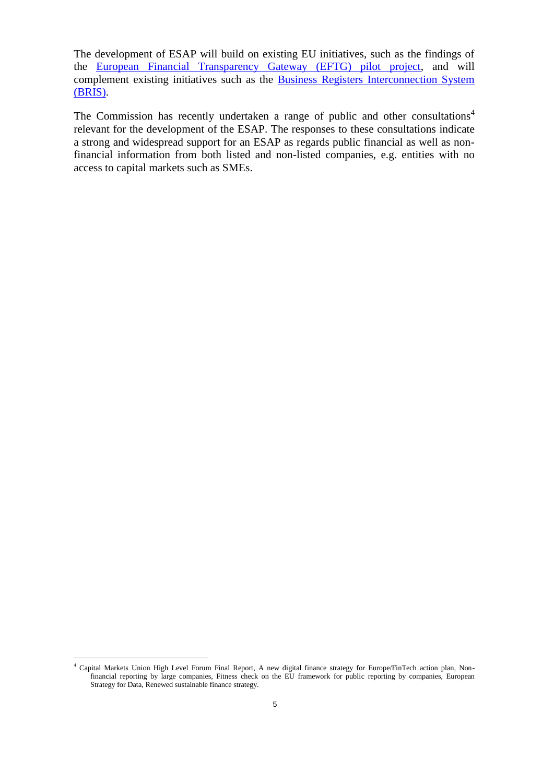The development of ESAP will build on existing EU initiatives, such as the findings of the [European Financial Transparency Gateway \(EFTG\) pilot project,](https://ec.europa.eu/info/business-economy-euro/company-reporting-and-auditing/company-reporting/transparency-requirements-listed-companies_en#eftg) and will complement existing initiatives such as the [Business Registers Interconnection System](https://ec.europa.eu/cefdigital/wiki/display/CEFDIGITAL/2017/09/19/Business+Register+Interconnection+System)  [\(BRIS\).](https://ec.europa.eu/cefdigital/wiki/display/CEFDIGITAL/2017/09/19/Business+Register+Interconnection+System)

The Commission has recently undertaken a range of public and other consultations<sup>4</sup> relevant for the development of the ESAP. The responses to these consultations indicate a strong and widespread support for an ESAP as regards public financial as well as nonfinancial information from both listed and non-listed companies, e.g. entities with no access to capital markets such as SMEs.

 $\overline{a}$ <sup>4</sup> Capital Markets Union High Level Forum Final Report, A new digital finance strategy for Europe/FinTech action plan, Nonfinancial reporting by large companies, Fitness check on the EU framework for public reporting by companies, European Strategy for Data, Renewed sustainable finance strategy.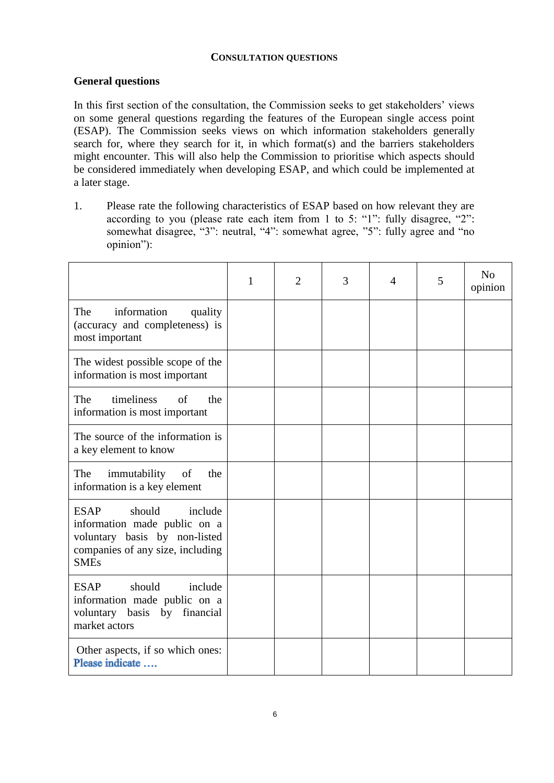#### **CONSULTATION QUESTIONS**

### **General questions**

In this first section of the consultation, the Commission seeks to get stakeholders' views on some general questions regarding the features of the European single access point (ESAP). The Commission seeks views on which information stakeholders generally search for, where they search for it, in which format(s) and the barriers stakeholders might encounter. This will also help the Commission to prioritise which aspects should be considered immediately when developing ESAP, and which could be implemented at a later stage.

1. Please rate the following characteristics of ESAP based on how relevant they are according to you (please rate each item from 1 to 5: "1": fully disagree, "2": somewhat disagree, "3": neutral, "4": somewhat agree, "5": fully agree and "no opinion"):

|                                                                                                                                                      | 1 | $\overline{2}$ | 3 | $\overline{4}$ | 5 | N <sub>o</sub><br>opinion |
|------------------------------------------------------------------------------------------------------------------------------------------------------|---|----------------|---|----------------|---|---------------------------|
| The<br>information<br>quality<br>(accuracy and completeness) is<br>most important                                                                    |   |                |   |                |   |                           |
| The widest possible scope of the<br>information is most important                                                                                    |   |                |   |                |   |                           |
| The<br>timeliness<br><sub>of</sub><br>the<br>information is most important                                                                           |   |                |   |                |   |                           |
| The source of the information is<br>a key element to know                                                                                            |   |                |   |                |   |                           |
| The<br>immutability<br>of<br>the<br>information is a key element                                                                                     |   |                |   |                |   |                           |
| <b>ESAP</b><br>should<br>include<br>information made public on a<br>voluntary basis by non-listed<br>companies of any size, including<br><b>SMEs</b> |   |                |   |                |   |                           |
| should<br><b>ESAP</b><br>include<br>information made public on a<br>voluntary basis by financial<br>market actors                                    |   |                |   |                |   |                           |
| Other aspects, if so which ones:<br>Please indicate                                                                                                  |   |                |   |                |   |                           |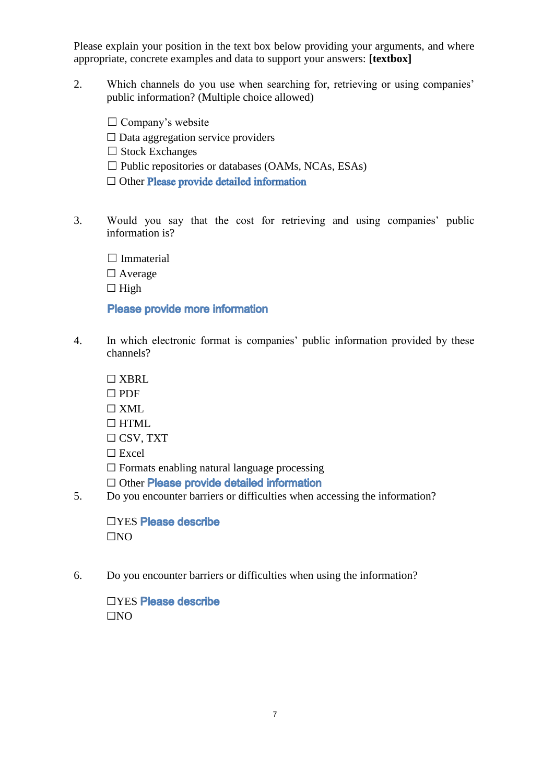Please explain your position in the text box below providing your arguments, and where appropriate, concrete examples and data to support your answers: **[textbox]**

- 2. Which channels do you use when searching for, retrieving or using companies' public information? (Multiple choice allowed)
	- $\Box$  Company's website
	- $\Box$  Data aggregation service providers
	- $\Box$  Stock Exchanges
	- $\Box$  Public repositories or databases (OAMs, NCAs, ESAs)
	- □ Other Please provide detailed information
- 3. Would you say that the cost for retrieving and using companies' public information is?
	- $\Box$  Immaterial □ Average  $\Box$  High

### Please provide more information

- 4. In which electronic format is companies' public information provided by these channels?
	- ☐ XBRL
	- ☐ PDF
	- $\Box$  XML
	- $\Box$  HTML.
	- $\Box$  CSV, TXT
	- ☐ Excel
	- $\Box$  Formats enabling natural language processing
	- □ Other Please provide detailed information
- 5. Do you encounter barriers or difficulties when accessing the information?

□YES Please describe  $\square$ NO

6. Do you encounter barriers or difficulties when using the information?

□YES Please describe  $\Box$ NO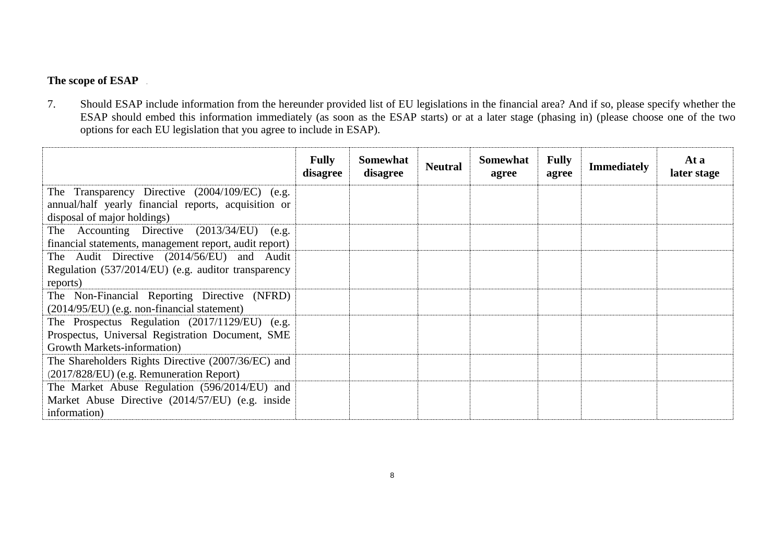## **The scope of ESAP**

7. Should ESAP include information from the hereunder provided list of EU legislations in the financial area? And if so, please specify whether the ESAP should embed this information immediately (as soon as the ESAP starts) or at a later stage (phasing in) (please choose one of the two options for each EU legislation that you agree to include in ESAP).

|                                                        | <b>Fully</b><br>disagree | Somewhat<br>disagree | <b>Neutral</b> | <b>Somewhat</b><br>agree | <b>Fully</b><br>agree | <b>Immediately</b> | At a<br>later stage |
|--------------------------------------------------------|--------------------------|----------------------|----------------|--------------------------|-----------------------|--------------------|---------------------|
| The Transparency Directive (2004/109/EC) (e.g.         |                          |                      |                |                          |                       |                    |                     |
| annual/half yearly financial reports, acquisition or   |                          |                      |                |                          |                       |                    |                     |
| disposal of major holdings)                            |                          |                      |                |                          |                       |                    |                     |
| The Accounting Directive (2013/34/EU)<br>(e.g.         |                          |                      |                |                          |                       |                    |                     |
| financial statements, management report, audit report) |                          |                      |                |                          |                       |                    |                     |
| The Audit Directive (2014/56/EU) and Audit             |                          |                      |                |                          |                       |                    |                     |
| Regulation (537/2014/EU) (e.g. auditor transparency    |                          |                      |                |                          |                       |                    |                     |
| reports)                                               |                          |                      |                |                          |                       |                    |                     |
| The Non-Financial Reporting Directive (NFRD)           |                          |                      |                |                          |                       |                    |                     |
| (2014/95/EU) (e.g. non-financial statement)            |                          |                      |                |                          |                       |                    |                     |
| The Prospectus Regulation (2017/1129/EU) (e.g.         |                          |                      |                |                          |                       |                    |                     |
| Prospectus, Universal Registration Document, SME       |                          |                      |                |                          |                       |                    |                     |
| Growth Markets-information)                            |                          |                      |                |                          |                       |                    |                     |
| The Shareholders Rights Directive (2007/36/EC) and     |                          |                      |                |                          |                       |                    |                     |
| (2017/828/EU) (e.g. Remuneration Report)               |                          |                      |                |                          |                       |                    |                     |
| The Market Abuse Regulation (596/2014/EU) and          |                          |                      |                |                          |                       |                    |                     |
| Market Abuse Directive (2014/57/EU) (e.g. inside       |                          |                      |                |                          |                       |                    |                     |
| information)                                           |                          |                      |                |                          |                       |                    |                     |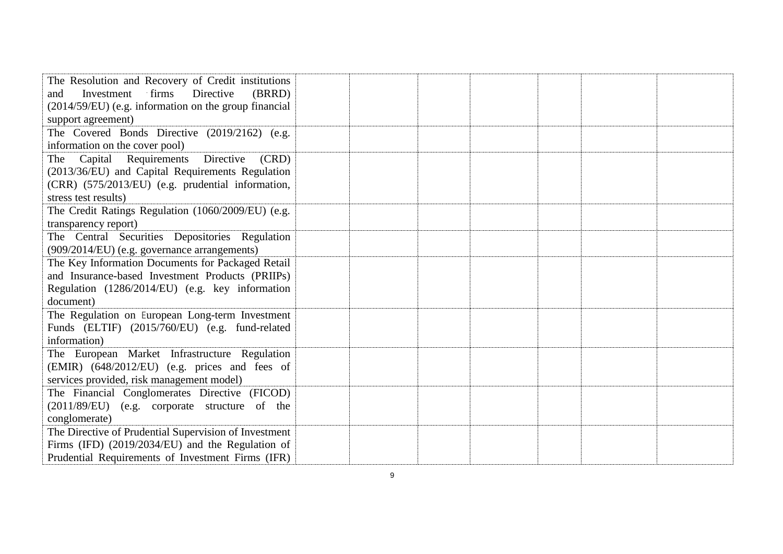| The Resolution and Recovery of Credit institutions                     |  |  |  |
|------------------------------------------------------------------------|--|--|--|
| Directive<br>Investment<br>firms<br>(BRRD)<br>and                      |  |  |  |
| (2014/59/EU) (e.g. information on the group financial                  |  |  |  |
| support agreement)                                                     |  |  |  |
| The Covered Bonds Directive (2019/2162) (e.g.                          |  |  |  |
| information on the cover pool)                                         |  |  |  |
| Capital Requirements Directive<br>(CRD)<br>The                         |  |  |  |
| (2013/36/EU) and Capital Requirements Regulation                       |  |  |  |
| (CRR) (575/2013/EU) (e.g. prudential information,                      |  |  |  |
| stress test results)                                                   |  |  |  |
| The Credit Ratings Regulation (1060/2009/EU) (e.g.                     |  |  |  |
| transparency report)<br>The Central Securities Depositories Regulation |  |  |  |
| (909/2014/EU) (e.g. governance arrangements)                           |  |  |  |
| The Key Information Documents for Packaged Retail                      |  |  |  |
| and Insurance-based Investment Products (PRIIPs)                       |  |  |  |
| Regulation (1286/2014/EU) (e.g. key information                        |  |  |  |
| document)                                                              |  |  |  |
| The Regulation on European Long-term Investment                        |  |  |  |
| Funds (ELTIF) (2015/760/EU) (e.g. fund-related                         |  |  |  |
| information)                                                           |  |  |  |
| The European Market Infrastructure Regulation                          |  |  |  |
| (EMIR) (648/2012/EU) (e.g. prices and fees of                          |  |  |  |
| services provided, risk management model)                              |  |  |  |
| The Financial Conglomerates Directive (FICOD)                          |  |  |  |
| (2011/89/EU) (e.g. corporate structure of the                          |  |  |  |
| conglomerate)                                                          |  |  |  |
| The Directive of Prudential Supervision of Investment                  |  |  |  |
| Firms (IFD) (2019/2034/EU) and the Regulation of                       |  |  |  |
| Prudential Requirements of Investment Firms (IFR)                      |  |  |  |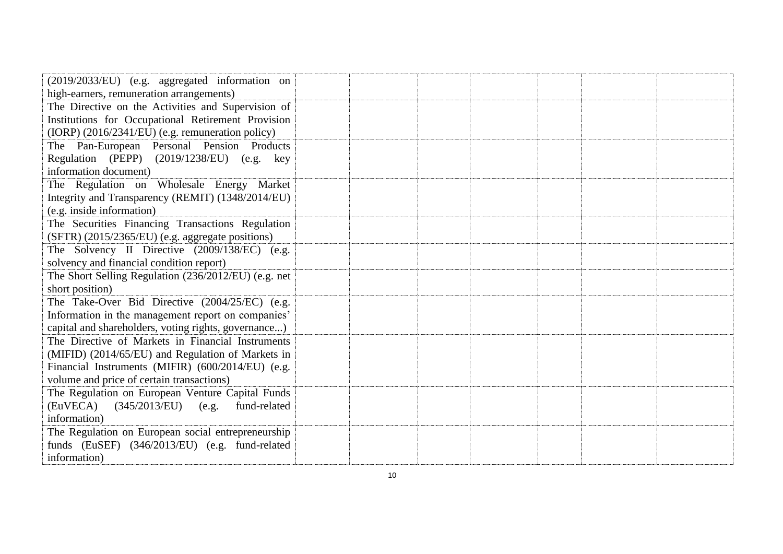| (2019/2033/EU) (e.g. aggregated information on       |  |  |  |  |
|------------------------------------------------------|--|--|--|--|
| high-earners, remuneration arrangements)             |  |  |  |  |
| The Directive on the Activities and Supervision of   |  |  |  |  |
| Institutions for Occupational Retirement Provision   |  |  |  |  |
| (IORP) (2016/2341/EU) (e.g. remuneration policy)     |  |  |  |  |
| The Pan-European Personal Pension Products           |  |  |  |  |
| Regulation (PEPP) (2019/1238/EU) (e.g. key           |  |  |  |  |
| information document)                                |  |  |  |  |
| The Regulation on Wholesale Energy Market            |  |  |  |  |
| Integrity and Transparency (REMIT) (1348/2014/EU)    |  |  |  |  |
| (e.g. inside information)                            |  |  |  |  |
| The Securities Financing Transactions Regulation     |  |  |  |  |
| (SFTR) (2015/2365/EU) (e.g. aggregate positions)     |  |  |  |  |
| The Solvency II Directive (2009/138/EC) (e.g.        |  |  |  |  |
| solvency and financial condition report)             |  |  |  |  |
| The Short Selling Regulation (236/2012/EU) (e.g. net |  |  |  |  |
| short position)                                      |  |  |  |  |
| The Take-Over Bid Directive (2004/25/EC) (e.g.       |  |  |  |  |
| Information in the management report on companies'   |  |  |  |  |
| capital and shareholders, voting rights, governance) |  |  |  |  |
| The Directive of Markets in Financial Instruments    |  |  |  |  |
| (MIFID) (2014/65/EU) and Regulation of Markets in    |  |  |  |  |
| Financial Instruments (MIFIR) (600/2014/EU) (e.g.    |  |  |  |  |
| volume and price of certain transactions)            |  |  |  |  |
| The Regulation on European Venture Capital Funds     |  |  |  |  |
| (EuVECA)<br>$(345/2013/EU)$ (e.g.<br>fund-related    |  |  |  |  |
| information)                                         |  |  |  |  |
| The Regulation on European social entrepreneurship   |  |  |  |  |
| funds (EuSEF) (346/2013/EU) (e.g. fund-related       |  |  |  |  |
| information)                                         |  |  |  |  |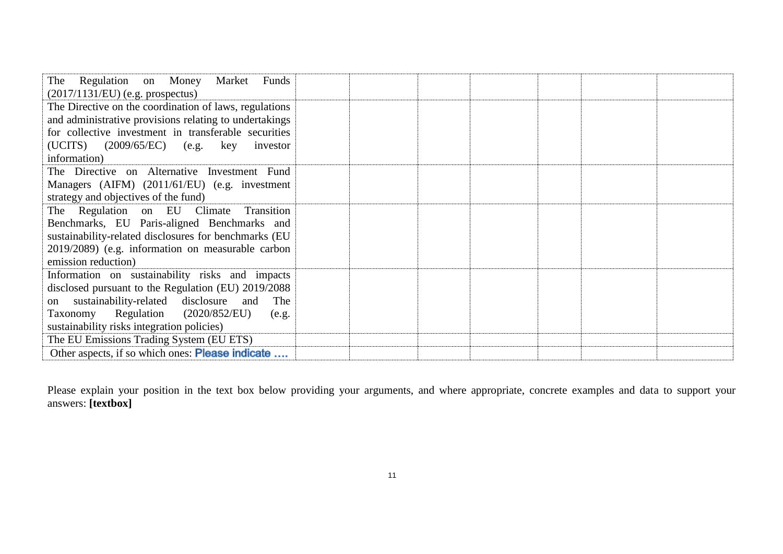| The Regulation on Money Market<br>Funds<br>$(2017/1131/EU)$ (e.g. prospectus) |  |  |
|-------------------------------------------------------------------------------|--|--|
| The Directive on the coordination of laws, regulations                        |  |  |
| and administrative provisions relating to undertakings                        |  |  |
| for collective investment in transferable securities                          |  |  |
| $(UCITS)$ $(2009/65/EC)$ $(e.g.$ key investor                                 |  |  |
| information)                                                                  |  |  |
| The Directive on Alternative Investment Fund                                  |  |  |
| Managers (AIFM) (2011/61/EU) (e.g. investment                                 |  |  |
| strategy and objectives of the fund)                                          |  |  |
| The Regulation on EU Climate<br>Transition                                    |  |  |
| Benchmarks, EU Paris-aligned Benchmarks and                                   |  |  |
| sustainability-related disclosures for benchmarks (EU                         |  |  |
| 2019/2089) (e.g. information on measurable carbon                             |  |  |
| emission reduction)                                                           |  |  |
| Information on sustainability risks and impacts                               |  |  |
| disclosed pursuant to the Regulation (EU) 2019/2088                           |  |  |
| on sustainability-related disclosure and<br>The                               |  |  |
| Taxonomy Regulation (2020/852/EU)<br>(e.g.                                    |  |  |
| sustainability risks integration policies)                                    |  |  |
| The EU Emissions Trading System (EU ETS)                                      |  |  |
| Other aspects, if so which ones: <b>Please indicate</b>                       |  |  |

Please explain your position in the text box below providing your arguments, and where appropriate, concrete examples and data to support your answers: **[textbox]**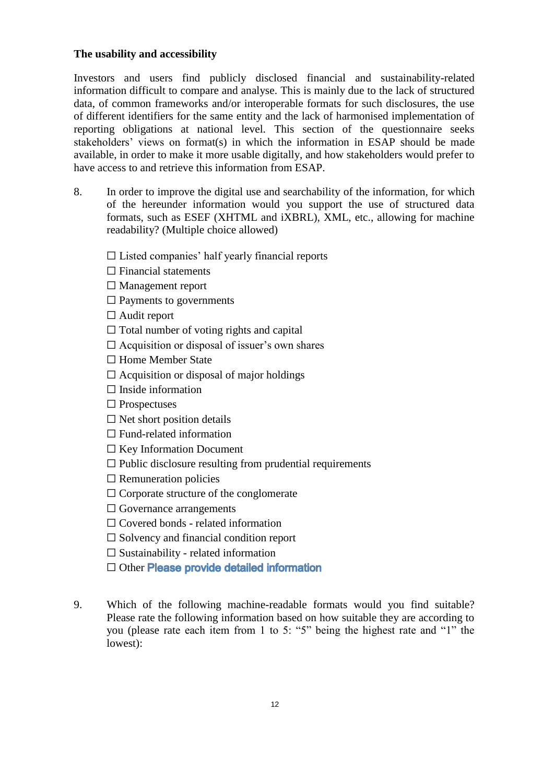### **The usability and accessibility**

Investors and users find publicly disclosed financial and sustainability-related information difficult to compare and analyse. This is mainly due to the lack of structured data, of common frameworks and/or interoperable formats for such disclosures, the use of different identifiers for the same entity and the lack of harmonised implementation of reporting obligations at national level. This section of the questionnaire seeks stakeholders' views on format(s) in which the information in ESAP should be made available, in order to make it more usable digitally, and how stakeholders would prefer to have access to and retrieve this information from ESAP.

8. In order to improve the digital use and searchability of the information, for which of the hereunder information would you support the use of structured data formats, such as ESEF (XHTML and iXBRL), XML, etc., allowing for machine readability? (Multiple choice allowed)

 $\Box$  Listed companies' half yearly financial reports

- $\Box$  Financial statements
- ☐ Management report
- $\Box$  Payments to governments
- $\Box$  Audit report
- $\Box$  Total number of voting rights and capital
- $\Box$  Acquisition or disposal of issuer's own shares
- ☐ Home Member State
- $\Box$  Acquisition or disposal of major holdings
- $\Box$  Inside information
- ☐ Prospectuses
- $\Box$  Net short position details
- $\Box$  Fund-related information
- ☐ Key Information Document
- $\Box$  Public disclosure resulting from prudential requirements
- $\Box$  Remuneration policies
- $\Box$  Corporate structure of the conglomerate
- □ Governance arrangements
- ☐ Covered bonds related information
- ☐ Solvency and financial condition report
- $\Box$  Sustainability related information
- □ Other Please provide detailed information
- 9. Which of the following machine-readable formats would you find suitable? Please rate the following information based on how suitable they are according to you (please rate each item from 1 to 5: "5" being the highest rate and "1" the lowest):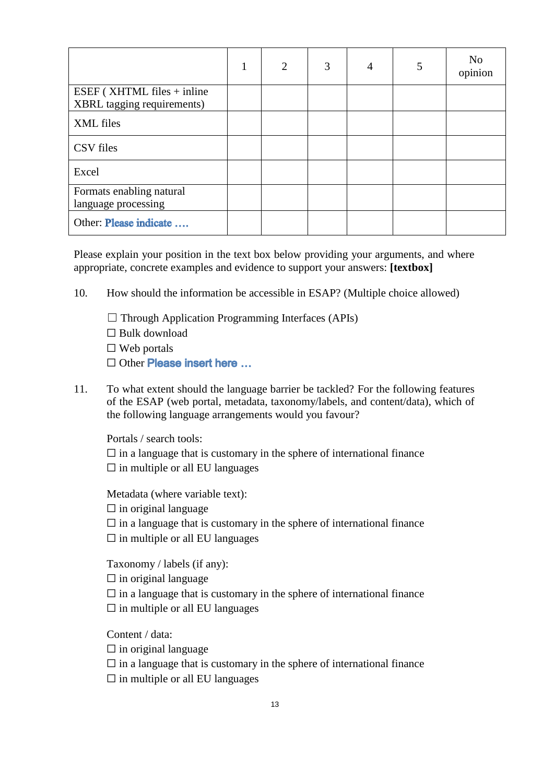|                                                          | 1 | $\overline{2}$ | 3 | 4 | 5 | No<br>opinion |
|----------------------------------------------------------|---|----------------|---|---|---|---------------|
| ESEF (XHTML files + inline<br>XBRL tagging requirements) |   |                |   |   |   |               |
| XML files                                                |   |                |   |   |   |               |
| CSV files                                                |   |                |   |   |   |               |
| Excel                                                    |   |                |   |   |   |               |
| Formats enabling natural<br>language processing          |   |                |   |   |   |               |
| Other: Please indicate                                   |   |                |   |   |   |               |

Please explain your position in the text box below providing your arguments, and where appropriate, concrete examples and evidence to support your answers: **[textbox]**

- 10. How should the information be accessible in ESAP? (Multiple choice allowed)
	- $\Box$  Through Application Programming Interfaces (APIs) ☐ Bulk download  $\square$  Web portals □ Other Please insert here ...
- 11. To what extent should the language barrier be tackled? For the following features of the ESAP (web portal, metadata, taxonomy/labels, and content/data), which of the following language arrangements would you favour?

Portals / search tools:

 $\Box$  in a language that is customary in the sphere of international finance  $\square$  in multiple or all EU languages

Metadata (where variable text):

 $\Box$  in original language

 $\Box$  in a language that is customary in the sphere of international finance

 $\Box$  in multiple or all EU languages

Taxonomy / labels (if any):

 $\Box$  in original language

 $\Box$  in a language that is customary in the sphere of international finance  $\square$  in multiple or all EU languages

Content / data:

 $\Box$  in original language

 $\Box$  in a language that is customary in the sphere of international finance

 $\Box$  in multiple or all EU languages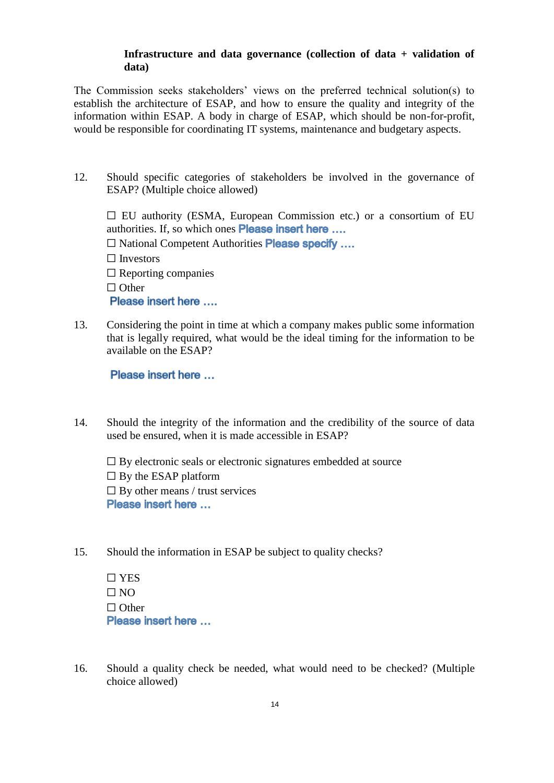#### **Infrastructure and data governance (collection of data + validation of data)**

The Commission seeks stakeholders' views on the preferred technical solution(s) to establish the architecture of ESAP, and how to ensure the quality and integrity of the information within ESAP. A body in charge of ESAP, which should be non-for-profit, would be responsible for coordinating IT systems, maintenance and budgetary aspects.

12. Should specific categories of stakeholders be involved in the governance of ESAP? (Multiple choice allowed)

 $\Box$  EU authority (ESMA, European Commission etc.) or a consortium of EU authorities. If, so which ones Please insert here .... □ National Competent Authorities Please specify .... ☐ Investors  $\Box$  Reporting companies ☐ Other Please insert here ....

13. Considering the point in time at which a company makes public some information that is legally required, what would be the ideal timing for the information to be available on the ESAP?

Please insert here ...

14. Should the integrity of the information and the credibility of the source of data used be ensured, when it is made accessible in ESAP?

 $\Box$  By electronic seals or electronic signatures embedded at source  $\Box$  By the ESAP platform  $\Box$  By other means / trust services Please insert here ...

15. Should the information in ESAP be subject to quality checks?

☐ YES  $\Box$  NO ☐ Other Please insert here ...

16. Should a quality check be needed, what would need to be checked? (Multiple choice allowed)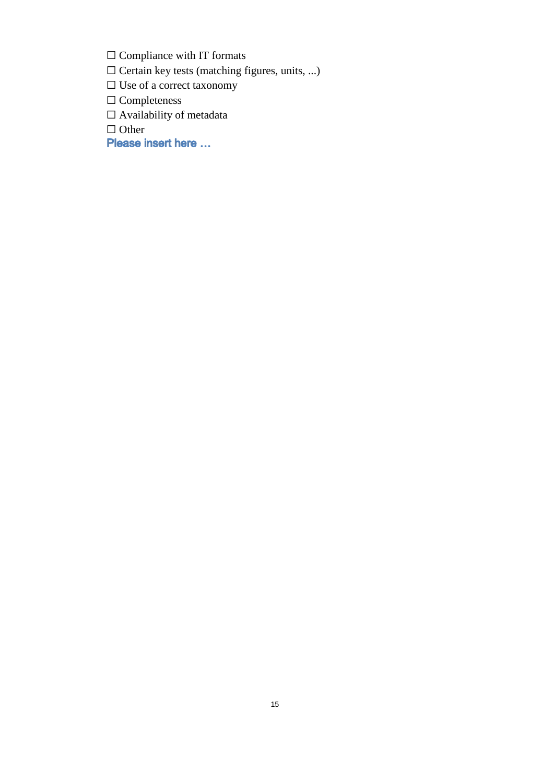□ Compliance with IT formats

☐ Certain key tests (matching figures, units, ...)

☐ Use of a correct taxonomy

☐ Completeness

 $\Box$  Availability of metadata

□ Other<br>**Please insert here** ...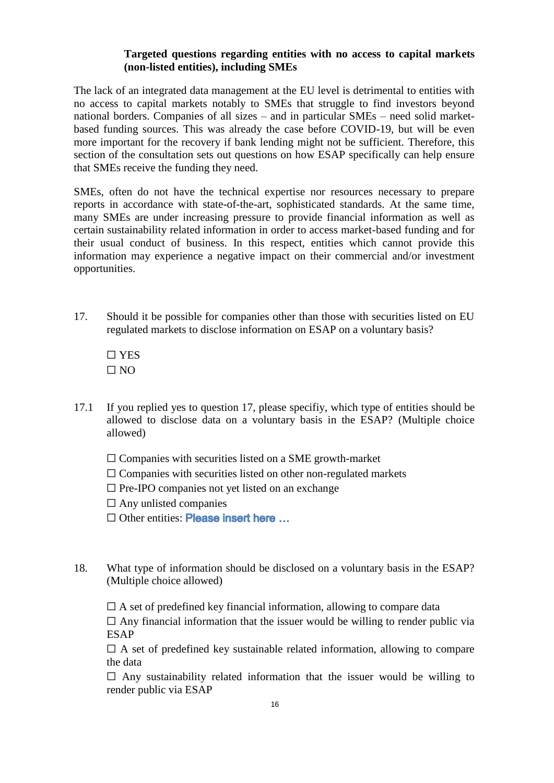#### **Targeted questions regarding entities with no access to capital markets (non-listed entities), including SMEs**

The lack of an integrated data management at the EU level is detrimental to entities with no access to capital markets notably to SMEs that struggle to find investors beyond national borders. Companies of all sizes – and in particular SMEs – need solid marketbased funding sources. This was already the case before COVID-19, but will be even more important for the recovery if bank lending might not be sufficient. Therefore, this section of the consultation sets out questions on how ESAP specifically can help ensure that SMEs receive the funding they need.

SMEs, often do not have the technical expertise nor resources necessary to prepare reports in accordance with state-of-the-art, sophisticated standards. At the same time, many SMEs are under increasing pressure to provide financial information as well as certain sustainability related information in order to access market-based funding and for their usual conduct of business. In this respect, entities which cannot provide this information may experience a negative impact on their commercial and/or investment opportunities.

- 17. Should it be possible for companies other than those with securities listed on EU regulated markets to disclose information on ESAP on a voluntary basis?
	- ☐ YES  $\Box$  NO
- 17.1 If you replied yes to question 17, please specifiy, which type of entities should be allowed to disclose data on a voluntary basis in the ESAP? (Multiple choice allowed)
	- $\Box$  Companies with securities listed on a SME growth-market
	- $\Box$  Companies with securities listed on other non-regulated markets
	- $\square$  Pre-IPO companies not yet listed on an exchange
	- $\Box$  Any unlisted companies
	- □ Other entities: Please insert here ...
- 18. What type of information should be disclosed on a voluntary basis in the ESAP? (Multiple choice allowed)

 $\Box$  A set of predefined key financial information, allowing to compare data

 $\Box$  Any financial information that the issuer would be willing to render public via ESAP

 $\Box$  A set of predefined key sustainable related information, allowing to compare the data

 $\Box$  Any sustainability related information that the issuer would be willing to render public via ESAP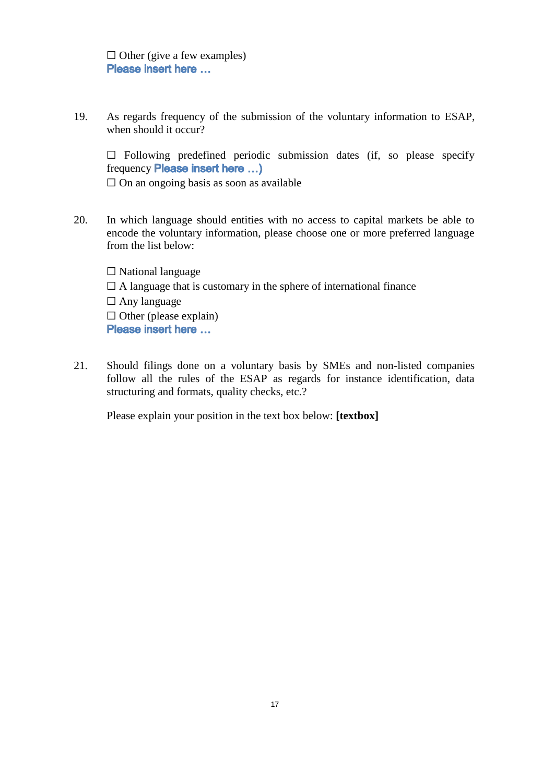$\Box$  Other (give a few examples) Please insert here ...

19. As regards frequency of the submission of the voluntary information to ESAP, when should it occur?

 $\square$  Following predefined periodic submission dates (if, so please specify frequency **Please insert here** ...)

 $\Box$  On an ongoing basis as soon as available

20. In which language should entities with no access to capital markets be able to encode the voluntary information, please choose one or more preferred language from the list below:

 $\Box$  National language  $\Box$  A language that is customary in the sphere of international finance  $\Box$  Any language  $\Box$  Other (please explain) Please insert here ...

21. Should filings done on a voluntary basis by SMEs and non-listed companies follow all the rules of the ESAP as regards for instance identification, data structuring and formats, quality checks, etc.?

Please explain your position in the text box below: **[textbox]**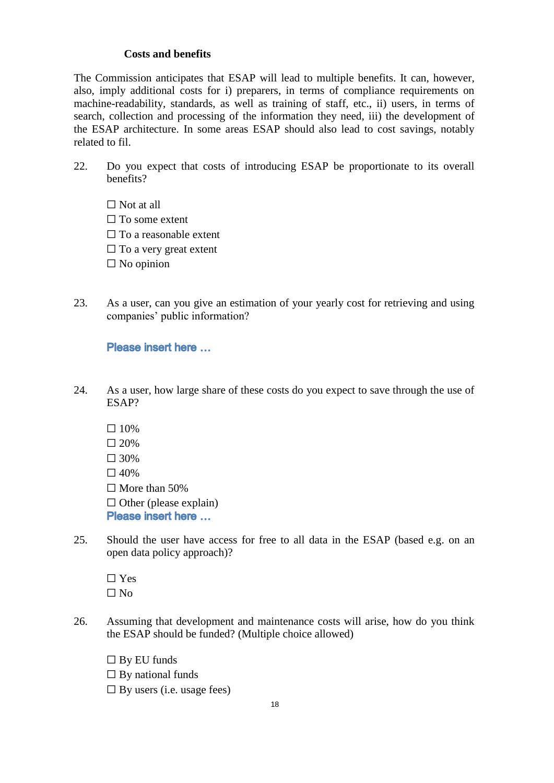#### **Costs and benefits**

The Commission anticipates that ESAP will lead to multiple benefits. It can, however, also, imply additional costs for i) preparers, in terms of compliance requirements on machine-readability, standards, as well as training of staff, etc., ii) users, in terms of search, collection and processing of the information they need, iii) the development of the ESAP architecture. In some areas ESAP should also lead to cost savings, notably related to fil.

- 22. Do you expect that costs of introducing ESAP be proportionate to its overall benefits?
	- $\Box$  Not at all  $\square$  To some extent  $\Box$  To a reasonable extent  $\Box$  To a very great extent  $\square$  No opinion
- 23. As a user, can you give an estimation of your yearly cost for retrieving and using companies' public information?

#### Please insert here ...

- 24. As a user, how large share of these costs do you expect to save through the use of ESAP?
	- $\square$  10%
	- $\Box$  20%
	- $\square$  30%
	- $\Box$  40%
	- $\Box$  More than 50%
	- $\Box$  Other (please explain)
	- Please insert here ...
- 25. Should the user have access for free to all data in the ESAP (based e.g. on an open data policy approach)?
	- ☐ Yes  $\Box$  No
- 26. Assuming that development and maintenance costs will arise, how do you think the ESAP should be funded? (Multiple choice allowed)
	- $\square$  By EU funds
	- $\Box$  By national funds
	- $\Box$  By users (i.e. usage fees)